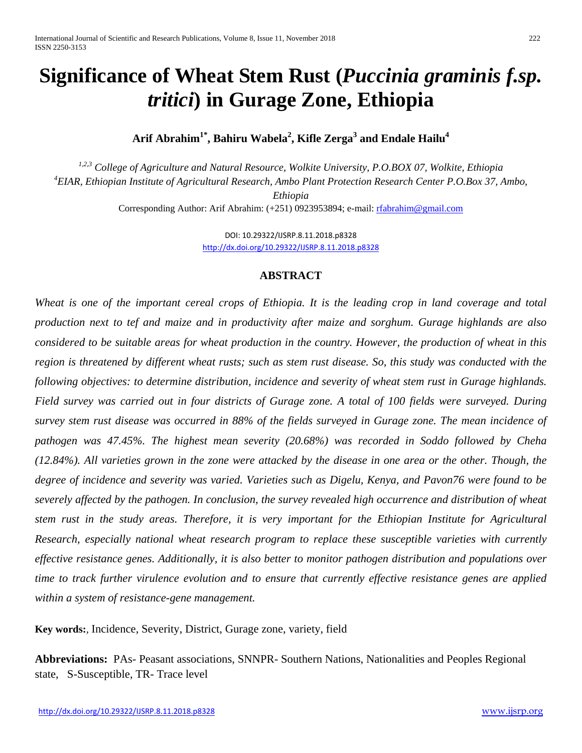# **Significance of Wheat Stem Rust (***Puccinia graminis f.sp. tritici***) in Gurage Zone, Ethiopia**

 $\boldsymbol{\mathrm{Arit}}$  Abrahim $^{1^*}$ , Bahiru Wabela $^2$ , Kifle Zerga $^3$  and Endale Hailu $^4$ 

*1,2,3 College of Agriculture and Natural Resource, Wolkite University, P.O.BOX 07, Wolkite, Ethiopia 4 EIAR, Ethiopian Institute of Agricultural Research, Ambo Plant Protection Research Center P.O.Box 37, Ambo, Ethiopia* Corresponding Author: Arif Abrahim: (+251) 0923953894; e-mail: [rfabrahim@gmail.com](mailto:rfabrahim@gmail.com)

> DOI: 10.29322/IJSRP.8.11.2018.p8328 <http://dx.doi.org/10.29322/IJSRP.8.11.2018.p8328>

### **ABSTRACT**

Wheat is one of the important cereal crops of Ethiopia. It is the leading crop in land coverage and total *production next to tef and maize and in productivity after maize and sorghum. Gurage highlands are also considered to be suitable areas for wheat production in the country. However, the production of wheat in this region is threatened by different wheat rusts; such as stem rust disease. So, this study was conducted with the following objectives: to determine distribution, incidence and severity of wheat stem rust in Gurage highlands. Field survey was carried out in four districts of Gurage zone. A total of 100 fields were surveyed. During survey stem rust disease was occurred in 88% of the fields surveyed in Gurage zone. The mean incidence of pathogen was 47.45%. The highest mean severity (20.68%) was recorded in Soddo followed by Cheha (12.84%). All varieties grown in the zone were attacked by the disease in one area or the other. Though, the degree of incidence and severity was varied. Varieties such as Digelu, Kenya, and Pavon76 were found to be severely affected by the pathogen. In conclusion, the survey revealed high occurrence and distribution of wheat stem rust in the study areas. Therefore, it is very important for the Ethiopian Institute for Agricultural Research, especially national wheat research program to replace these susceptible varieties with currently effective resistance genes. Additionally, it is also better to monitor pathogen distribution and populations over time to track further virulence evolution and to ensure that currently effective resistance genes are applied within a system of resistance-gene management.*

**Key words:***,* Incidence, Severity, District, Gurage zone, variety, field

**Abbreviations:** PAs- Peasant associations, SNNPR- Southern Nations, Nationalities and Peoples Regional state, S-Susceptible, TR- Trace level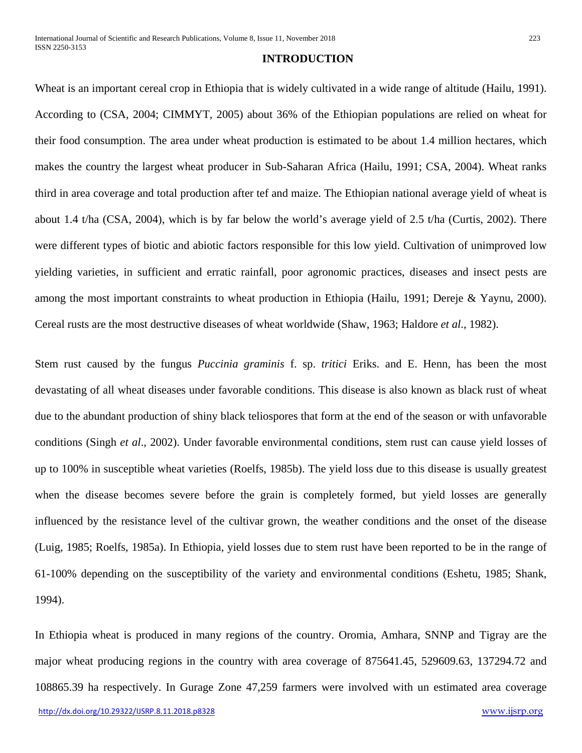#### **INTRODUCTION**

Wheat is an important cereal crop in Ethiopia that is widely cultivated in a wide range of altitude (Hailu, 1991). According to (CSA, 2004; CIMMYT, 2005) about 36% of the Ethiopian populations are relied on wheat for their food consumption. The area under wheat production is estimated to be about 1.4 million hectares, which makes the country the largest wheat producer in Sub-Saharan Africa (Hailu, 1991; CSA, 2004). Wheat ranks third in area coverage and total production after tef and maize. The Ethiopian national average yield of wheat is about 1.4 t/ha (CSA, 2004), which is by far below the world's average yield of 2.5 t/ha (Curtis, 2002). There were different types of biotic and abiotic factors responsible for this low yield. Cultivation of unimproved low yielding varieties, in sufficient and erratic rainfall, poor agronomic practices, diseases and insect pests are among the most important constraints to wheat production in Ethiopia (Hailu, 1991; Dereje & Yaynu, 2000). Cereal rusts are the most destructive diseases of wheat worldwide (Shaw, 1963; Haldore *et al*., 1982).

Stem rust caused by the fungus *Puccinia graminis* f. sp. *tritici* Eriks. and E. Henn, has been the most devastating of all wheat diseases under favorable conditions. This disease is also known as black rust of wheat due to the abundant production of shiny black teliospores that form at the end of the season or with unfavorable conditions (Singh *et al*., 2002). Under favorable environmental conditions, stem rust can cause yield losses of up to 100% in susceptible wheat varieties (Roelfs, 1985b). The yield loss due to this disease is usually greatest when the disease becomes severe before the grain is completely formed, but yield losses are generally influenced by the resistance level of the cultivar grown, the weather conditions and the onset of the disease (Luig, 1985; Roelfs, 1985a). In Ethiopia, yield losses due to stem rust have been reported to be in the range of 61-100% depending on the susceptibility of the variety and environmental conditions (Eshetu, 1985; Shank, 1994).

In Ethiopia wheat is produced in many regions of the country. Oromia, Amhara, SNNP and Tigray are the major wheat producing regions in the country with area coverage of 875641.45, 529609.63, 137294.72 and 108865.39 ha respectively. In Gurage Zone 47,259 farmers were involved with un estimated area coverage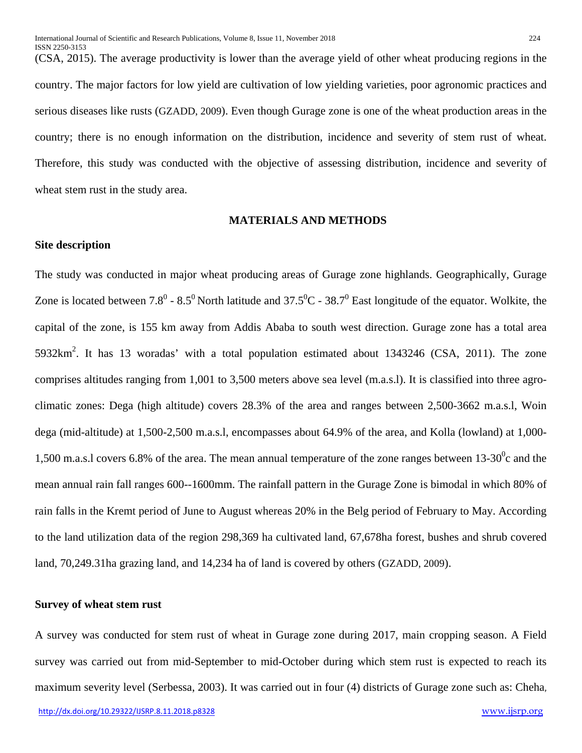(CSA, 2015). The average productivity is lower than the average yield of other wheat producing regions in the country. The major factors for low yield are cultivation of low yielding varieties, poor agronomic practices and serious diseases like rusts (GZADD, 2009). Even though Gurage zone is one of the wheat production areas in the country; there is no enough information on the distribution, incidence and severity of stem rust of wheat. Therefore, this study was conducted with the objective of assessing distribution, incidence and severity of wheat stem rust in the study area.

### **MATERIALS AND METHODS**

#### **Site description**

The study was conducted in major wheat producing areas of Gurage zone highlands. Geographically, Gurage Zone is located between 7.8<sup>0</sup> - 8.5<sup>0</sup> North latitude and 37.5<sup>0</sup>C - 38.7<sup>0</sup> East longitude of the equator. Wolkite, the capital of the zone, is 155 km away from Addis Ababa to south west direction. Gurage zone has a total area  $5932 \text{km}^2$ . It has 13 woradas' with a total population estimated about 1343246 (CSA, 2011). The zone comprises altitudes ranging from 1,001 to 3,500 meters above sea level (m.a.s.l). It is classified into three agroclimatic zones: Dega (high altitude) covers 28.3% of the area and ranges between 2,500-3662 m.a.s.l, Woin dega (mid-altitude) at 1,500-2,500 m.a.s.l, encompasses about 64.9% of the area, and Kolla (lowland) at 1,000- 1,500 m.a.s.l covers 6.8% of the area. The mean annual temperature of the zone ranges between  $13\text{-}30^0$ c and the mean annual rain fall ranges 600--1600mm. The rainfall pattern in the Gurage Zone is bimodal in which 80% of rain falls in the Kremt period of June to August whereas 20% in the Belg period of February to May. According to the land utilization data of the region 298,369 ha cultivated land, 67,678ha forest, bushes and shrub covered land, 70,249.31ha grazing land, and 14,234 ha of land is covered by others (GZADD, 2009).

#### **Survey of wheat stem rust**

A survey was conducted for stem rust of wheat in Gurage zone during 2017, main cropping season. A Field survey was carried out from mid-September to mid-October during which stem rust is expected to reach its maximum severity level (Serbessa, 2003). It was carried out in four (4) districts of Gurage zone such as: Cheha,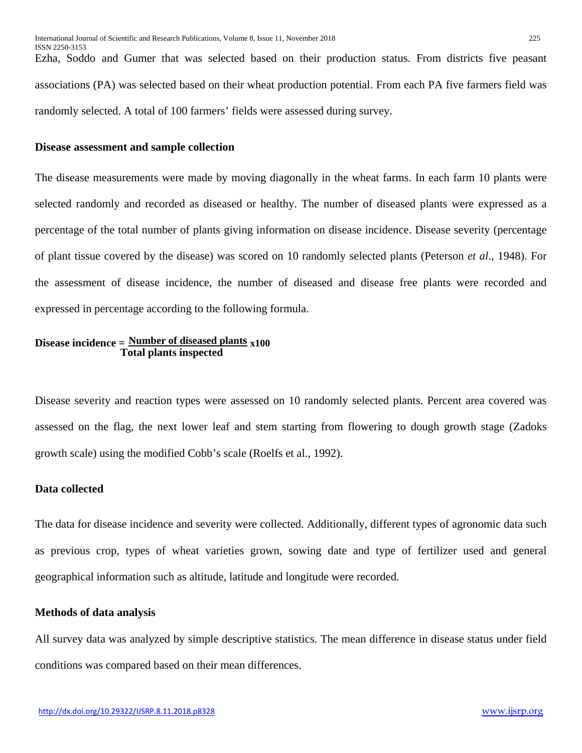Ezha, Soddo and Gumer that was selected based on their production status. From districts five peasant associations (PA) was selected based on their wheat production potential. From each PA five farmers field was randomly selected. A total of 100 farmers' fields were assessed during survey.

#### **Disease assessment and sample collection**

The disease measurements were made by moving diagonally in the wheat farms. In each farm 10 plants were selected randomly and recorded as diseased or healthy. The number of diseased plants were expressed as a percentage of the total number of plants giving information on disease incidence. Disease severity (percentage of plant tissue covered by the disease) was scored on 10 randomly selected plants (Peterson *et al*., 1948). For the assessment of disease incidence, the number of diseased and disease free plants were recorded and expressed in percentage according to the following formula.

## **Disease incidence = Number of diseased plants x100 Total plants inspected**

Disease severity and reaction types were assessed on 10 randomly selected plants. Percent area covered was assessed on the flag, the next lower leaf and stem starting from flowering to dough growth stage (Zadoks growth scale) using the modified Cobb's scale (Roelfs et al., 1992).

## **Data collected**

The data for disease incidence and severity were collected. Additionally, different types of agronomic data such as previous crop, types of wheat varieties grown, sowing date and type of fertilizer used and general geographical information such as altitude, latitude and longitude were recorded.

#### **Methods of data analysis**

All survey data was analyzed by simple descriptive statistics. The mean difference in disease status under field conditions was compared based on their mean differences.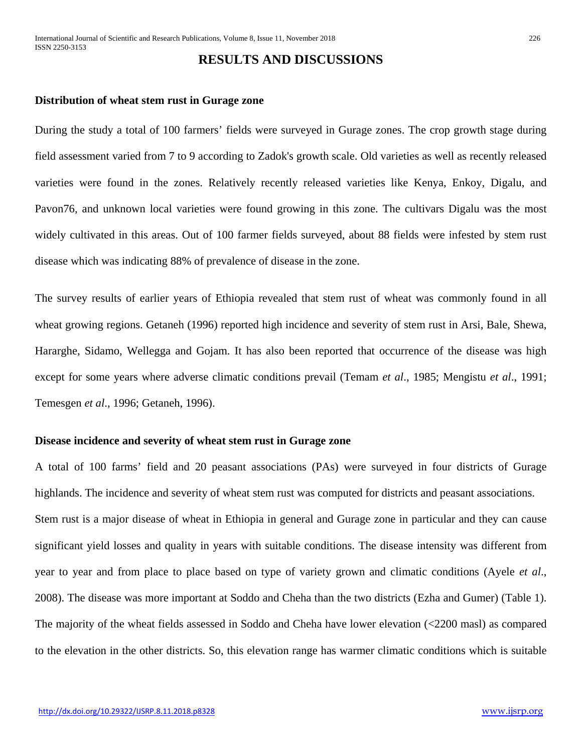# **RESULTS AND DISCUSSIONS**

#### **Distribution of wheat stem rust in Gurage zone**

During the study a total of 100 farmers' fields were surveyed in Gurage zones. The crop growth stage during field assessment varied from 7 to 9 according to Zadok's growth scale. Old varieties as well as recently released varieties were found in the zones. Relatively recently released varieties like Kenya, Enkoy, Digalu, and Pavon76, and unknown local varieties were found growing in this zone. The cultivars Digalu was the most widely cultivated in this areas. Out of 100 farmer fields surveyed, about 88 fields were infested by stem rust disease which was indicating 88% of prevalence of disease in the zone.

The survey results of earlier years of Ethiopia revealed that stem rust of wheat was commonly found in all wheat growing regions. Getaneh (1996) reported high incidence and severity of stem rust in Arsi, Bale, Shewa, Hararghe, Sidamo, Wellegga and Gojam. It has also been reported that occurrence of the disease was high except for some years where adverse climatic conditions prevail (Temam *et al*., 1985; Mengistu *et al*., 1991; Temesgen *et al*., 1996; Getaneh, 1996).

#### **Disease incidence and severity of wheat stem rust in Gurage zone**

A total of 100 farms' field and 20 peasant associations (PAs) were surveyed in four districts of Gurage highlands. The incidence and severity of wheat stem rust was computed for districts and peasant associations. Stem rust is a major disease of wheat in Ethiopia in general and Gurage zone in particular and they can cause significant yield losses and quality in years with suitable conditions. The disease intensity was different from year to year and from place to place based on type of variety grown and climatic conditions (Ayele *et al*., 2008). The disease was more important at Soddo and Cheha than the two districts (Ezha and Gumer) (Table 1). The majority of the wheat fields assessed in Soddo and Cheha have lower elevation (<2200 masl) as compared to the elevation in the other districts. So, this elevation range has warmer climatic conditions which is suitable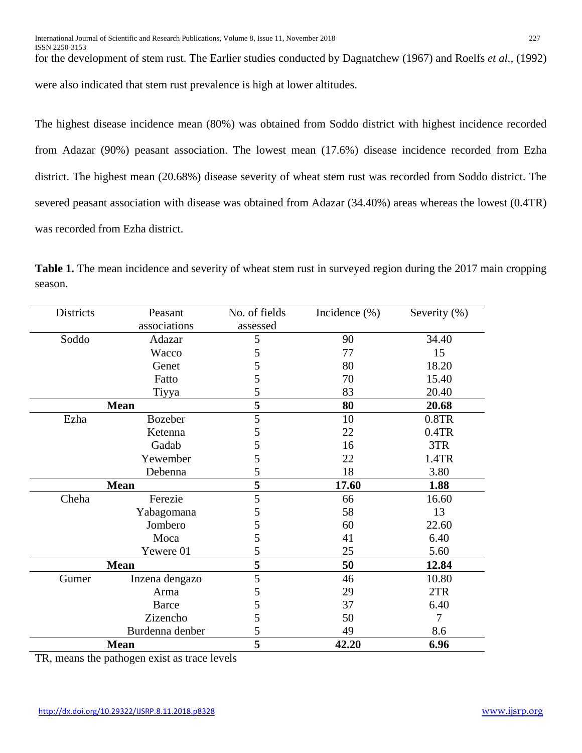ISSN 2250-3153 for the development of stem rust. The Earlier studies conducted by Dagnatchew (1967) and Roelfs *et al.,* (1992)

were also indicated that stem rust prevalence is high at lower altitudes.

The highest disease incidence mean (80%) was obtained from Soddo district with highest incidence recorded from Adazar (90%) peasant association. The lowest mean (17.6%) disease incidence recorded from Ezha district. The highest mean (20.68%) disease severity of wheat stem rust was recorded from Soddo district. The severed peasant association with disease was obtained from Adazar (34.40%) areas whereas the lowest (0.4TR) was recorded from Ezha district.

| Districts | Peasant         | No. of fields | Incidence $(\%)$ | Severity $(\%)$ |
|-----------|-----------------|---------------|------------------|-----------------|
|           | associations    | assessed      |                  |                 |
| Soddo     | Adazar          | 5             | 90               | 34.40           |
|           | Wacco           | 5             | 77               | 15              |
|           | Genet           | 5             | 80               | 18.20           |
|           | Fatto           | 5             | 70               | 15.40           |
|           | Tiyya           | 5             | 83               | 20.40           |
|           | <b>Mean</b>     |               | 80               | 20.68           |
| Ezha      | <b>Bozeber</b>  | 5             | 10               | 0.8TR           |
|           | Ketenna         | 5             | 22               | 0.4TR           |
|           | Gadab           | 5             | 16               | 3TR             |
|           | Yewember        | 5             | 22               | 1.4TR           |
|           | Debenna         | 5             | 18               | 3.80            |
|           | <b>Mean</b>     |               | 17.60            | 1.88            |
| Cheha     | Ferezie         | 5             | 66               | 16.60           |
|           | Yabagomana      | 5             | 58               | 13              |
|           | Jombero         | 5             | 60               | 22.60           |
|           | Moca            | 5             | 41               | 6.40            |
|           | Yewere 01       | 5             | 25               | 5.60            |
|           | <b>Mean</b>     |               | 50               | 12.84           |
| Gumer     | Inzena dengazo  | 5             | 46               | 10.80           |
|           | Arma            | 5             | 29               | 2TR             |
|           | <b>Barce</b>    | 5             | 37               | 6.40            |
|           | Zizencho        | 5             | 50               | $\overline{7}$  |
|           | Burdenna denber |               | 49               | 8.6             |
|           | <b>Mean</b>     |               | 42.20            | 6.96            |

**Table 1.** The mean incidence and severity of wheat stem rust in surveyed region during the 2017 main cropping season.

TR, means the pathogen exist as trace levels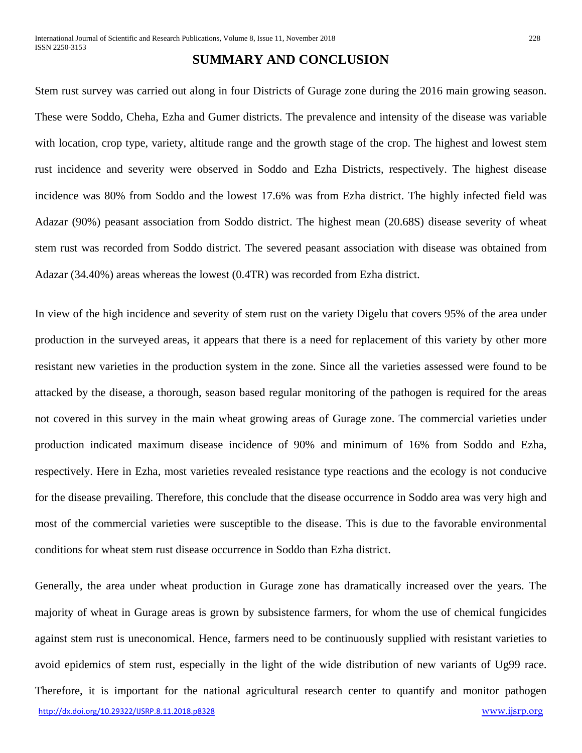# **SUMMARY AND CONCLUSION**

Stem rust survey was carried out along in four Districts of Gurage zone during the 2016 main growing season. These were Soddo, Cheha, Ezha and Gumer districts. The prevalence and intensity of the disease was variable with location, crop type, variety, altitude range and the growth stage of the crop. The highest and lowest stem rust incidence and severity were observed in Soddo and Ezha Districts, respectively. The highest disease incidence was 80% from Soddo and the lowest 17.6% was from Ezha district. The highly infected field was Adazar (90%) peasant association from Soddo district. The highest mean (20.68S) disease severity of wheat stem rust was recorded from Soddo district. The severed peasant association with disease was obtained from Adazar (34.40%) areas whereas the lowest (0.4TR) was recorded from Ezha district.

In view of the high incidence and severity of stem rust on the variety Digelu that covers 95% of the area under production in the surveyed areas, it appears that there is a need for replacement of this variety by other more resistant new varieties in the production system in the zone. Since all the varieties assessed were found to be attacked by the disease, a thorough, season based regular monitoring of the pathogen is required for the areas not covered in this survey in the main wheat growing areas of Gurage zone. The commercial varieties under production indicated maximum disease incidence of 90% and minimum of 16% from Soddo and Ezha, respectively. Here in Ezha, most varieties revealed resistance type reactions and the ecology is not conducive for the disease prevailing. Therefore, this conclude that the disease occurrence in Soddo area was very high and most of the commercial varieties were susceptible to the disease. This is due to the favorable environmental conditions for wheat stem rust disease occurrence in Soddo than Ezha district.

<http://dx.doi.org/10.29322/IJSRP.8.11.2018.p8328> [www.ijsrp.org](http://ijsrp.org/) Generally, the area under wheat production in Gurage zone has dramatically increased over the years. The majority of wheat in Gurage areas is grown by subsistence farmers, for whom the use of chemical fungicides against stem rust is uneconomical. Hence, farmers need to be continuously supplied with resistant varieties to avoid epidemics of stem rust, especially in the light of the wide distribution of new variants of Ug99 race. Therefore, it is important for the national agricultural research center to quantify and monitor pathogen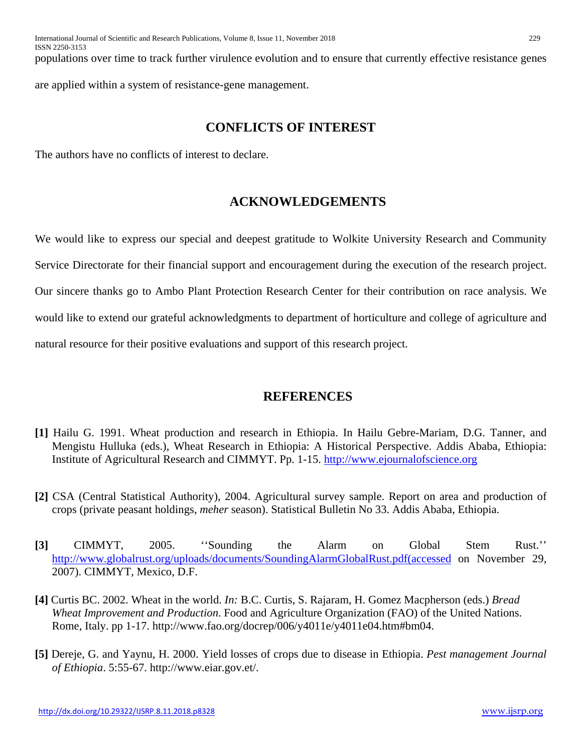ISSN 2250-3153 populations over time to track further virulence evolution and to ensure that currently effective resistance genes are applied within a system of resistance-gene management.

# **CONFLICTS OF INTEREST**

The authors have no conflicts of interest to declare.

# **ACKNOWLEDGEMENTS**

We would like to express our special and deepest gratitude to Wolkite University Research and Community Service Directorate for their financial support and encouragement during the execution of the research project. Our sincere thanks go to Ambo Plant Protection Research Center for their contribution on race analysis. We would like to extend our grateful acknowledgments to department of horticulture and college of agriculture and natural resource for their positive evaluations and support of this research project.

# **REFERENCES**

- **[1]** Hailu G. 1991. Wheat production and research in Ethiopia. In Hailu Gebre-Mariam, D.G. Tanner, and Mengistu Hulluka (eds.), Wheat Research in Ethiopia: A Historical Perspective. Addis Ababa, Ethiopia: Institute of Agricultural Research and CIMMYT. Pp. 1-15. [http://www.ejournalofscience.org](http://www.ejournalofscience.org/)
- **[2]** CSA (Central Statistical Authority), 2004. Agricultural survey sample. Report on area and production of crops (private peasant holdings, *meher* season). Statistical Bulletin No 33. Addis Ababa, Ethiopia.
- **[3]** CIMMYT, 2005. ''Sounding the Alarm on Global Stem Rust.'' [http://www.globalrust.org/uploads/documents/SoundingAlarmGlobalRust.pdf\(accessed](http://www.globalrust.org/uploads/documents/SoundingAlarmGlobalRust.pdf(accessed) on November 29, 2007). CIMMYT, Mexico, D.F.
- **[4]** Curtis BC. 2002. Wheat in the world. *In:* B.C. Curtis, S. Rajaram, H. Gomez Macpherson (eds.) *Bread Wheat Improvement and Production*. Food and Agriculture Organization (FAO) of the United Nations. Rome, Italy. pp 1-17. http://www.fao.org/docrep/006/y4011e/y4011e04.htm#bm04.
- **[5]** Dereje, G. and Yaynu, H. 2000. Yield losses of crops due to disease in Ethiopia. *Pest management Journal of Ethiopia*. 5:55-67. http://www.eiar.gov.et/.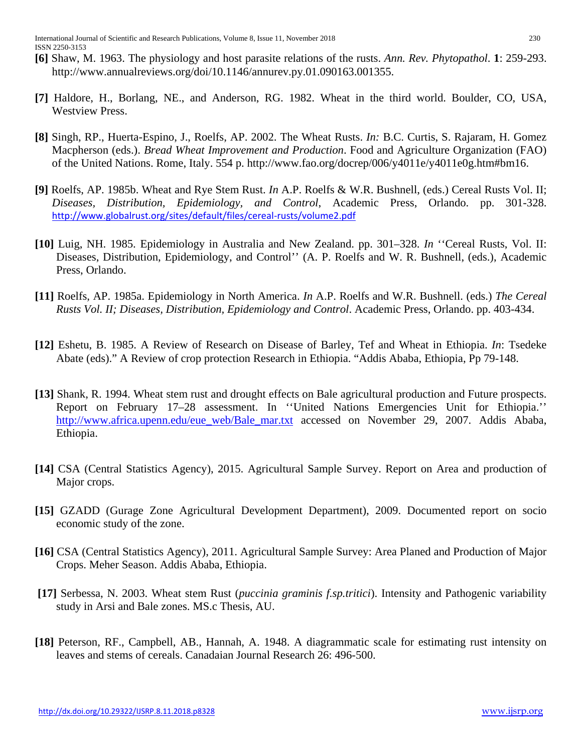- **[6]** Shaw, M. 1963. The physiology and host parasite relations of the rusts. *Ann. Rev. Phytopathol*. **1**: 259-293. http://www.annualreviews.org/doi/10.1146/annurev.py.01.090163.001355.
- **[7]** Haldore, H., Borlang, NE., and Anderson, RG. 1982. Wheat in the third world. Boulder, CO, USA, Westview Press.
- **[8]** Singh, RP., Huerta-Espino, J., Roelfs, AP. 2002. The Wheat Rusts. *In:* B.C. Curtis, S. Rajaram, H. Gomez Macpherson (eds.). *Bread Wheat Improvement and Production*. Food and Agriculture Organization (FAO) of the United Nations. Rome, Italy. 554 p. http://www.fao.org/docrep/006/y4011e/y4011e0g.htm#bm16.
- **[9]** Roelfs, AP. 1985b. Wheat and Rye Stem Rust. *In* A.P. Roelfs & W.R. Bushnell, (eds.) Cereal Rusts Vol. II; *Diseases, Distribution, Epidemiology, and Control*, Academic Press, Orlando. pp. 301-328. <http://www.globalrust.org/sites/default/files/cereal-rusts/volume2.pdf>
- **[10]** Luig, NH. 1985. Epidemiology in Australia and New Zealand. pp. 301–328. *In* ''Cereal Rusts, Vol. II: Diseases, Distribution, Epidemiology, and Control'' (A. P. Roelfs and W. R. Bushnell, (eds.), Academic Press, Orlando.
- **[11]** Roelfs, AP. 1985a. Epidemiology in North America. *In* A.P. Roelfs and W.R. Bushnell. (eds.) *The Cereal Rusts Vol. II; Diseases, Distribution, Epidemiology and Control*. Academic Press, Orlando. pp. 403-434.
- **[12]** Eshetu, B. 1985. A Review of Research on Disease of Barley, Tef and Wheat in Ethiopia. *In*: Tsedeke Abate (eds)." A Review of crop protection Research in Ethiopia. "Addis Ababa, Ethiopia, Pp 79-148.
- **[13]** Shank, R. 1994. Wheat stem rust and drought effects on Bale agricultural production and Future prospects. Report on February 17–28 assessment. In ''United Nations Emergencies Unit for Ethiopia.'' [http://www.africa.upenn.edu/eue\\_web/Bale\\_mar.txt](http://www.africa.upenn.edu/eue_web/Bale_mar.txt) accessed on November 29, 2007. Addis Ababa, Ethiopia.
- **[14]** CSA (Central Statistics Agency), 2015. Agricultural Sample Survey. Report on Area and production of Major crops.
- **[15]** GZADD (Gurage Zone Agricultural Development Department), 2009. Documented report on socio economic study of the zone.
- **[16]** CSA (Central Statistics Agency), 2011. Agricultural Sample Survey: Area Planed and Production of Major Crops. Meher Season. Addis Ababa, Ethiopia.
- **[17]** Serbessa, N. 2003. Wheat stem Rust (*puccinia graminis f.sp.tritici*). Intensity and Pathogenic variability study in Arsi and Bale zones. MS.c Thesis, AU.
- **[18]** Peterson, RF., Campbell, AB., Hannah, A. 1948. A diagrammatic scale for estimating rust intensity on leaves and stems of cereals. Canadaian Journal Research 26: 496-500.